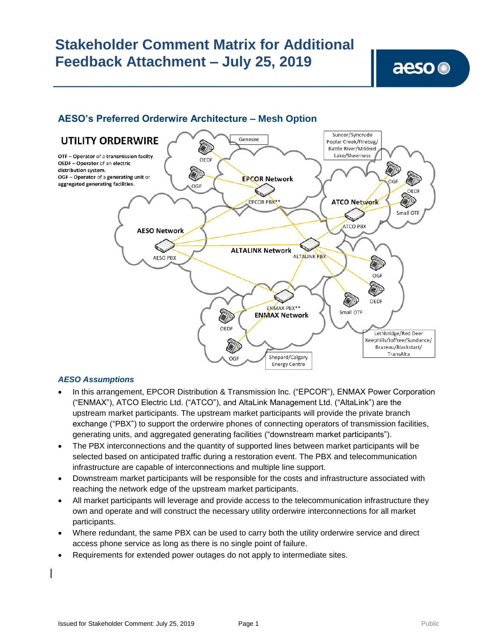#### Suncor/Syncrude Genesee **UTILITY ORDERWIRE** Poplar Creek/Firebag/ **Company Battle River/Mildred** Lake/Sheerness OTF - Operator of a transmission facilty. OEDF OEDF - Operator of an electric distribution system. OGF - Operator of a generating unit or **EPCOR Network** aggregated generating facilities. OGF OEDF **ATCO Network** EPCOR PBX\*\* Small OTF Z **ATCO PBX AESO Network ALTALINK Network ALTALINK RBX AESO PBX** (W) OGF OEDE ENMAX PBX\*\* **AND** Small OTF **ENMAX Network** OEDF Lethbridge/Red Deer Keephills/Joffree/Sundance/ **AND** Brazeau/Blackstart/ TransAlta Shepard/Calgary OGF **Energy Centre**

### **AESO's Preferred Orderwire Architecture – Mesh Option**

### *AESO Assumptions*

- In this arrangement, EPCOR Distribution & Transmission Inc. ("EPCOR"), ENMAX Power Corporation ("ENMAX"), ATCO Electric Ltd. ("ATCO"), and AltaLink Management Ltd. ("AltaLink") are the upstream market participants. The upstream market participants will provide the private branch exchange ("PBX") to support the orderwire phones of connecting operators of transmission facilities, generating units, and aggregated generating facilities ("downstream market participants").
- The PBX interconnections and the quantity of supported lines between market participants will be selected based on anticipated traffic during a restoration event. The PBX and telecommunication infrastructure are capable of interconnections and multiple line support.
- Downstream market participants will be responsible for the costs and infrastructure associated with reaching the network edge of the upstream market participants.
- All market participants will leverage and provide access to the telecommunication infrastructure they own and operate and will construct the necessary utility orderwire interconnections for all market participants.
- Where redundant, the same PBX can be used to carry both the utility orderwire service and direct access phone service as long as there is no single point of failure.
- Requirements for extended power outages do not apply to intermediate sites.

aeso<sup>®</sup>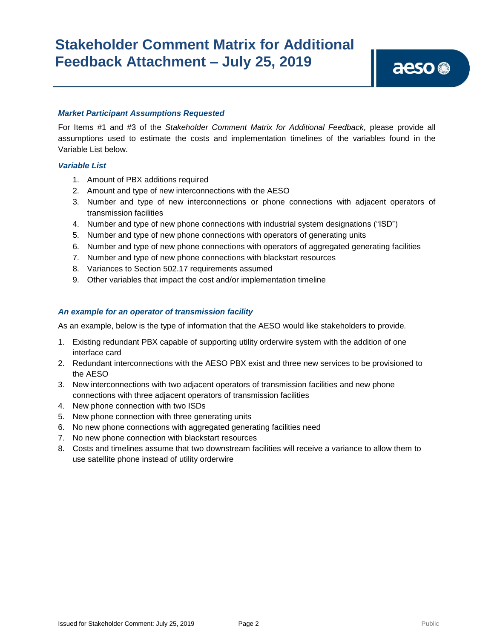#### *Market Participant Assumptions Requested*

For Items #1 and #3 of the *Stakeholder Comment Matrix for Additional Feedback,* please provide all assumptions used to estimate the costs and implementation timelines of the variables found in the Variable List below.

#### *Variable List*

- 1. Amount of PBX additions required
- 2. Amount and type of new interconnections with the AESO
- 3. Number and type of new interconnections or phone connections with adjacent operators of transmission facilities
- 4. Number and type of new phone connections with industrial system designations ("ISD")
- 5. Number and type of new phone connections with operators of generating units
- 6. Number and type of new phone connections with operators of aggregated generating facilities
- 7. Number and type of new phone connections with blackstart resources
- 8. Variances to Section 502.17 requirements assumed
- 9. Other variables that impact the cost and/or implementation timeline

#### *An example for an operator of transmission facility*

As an example, below is the type of information that the AESO would like stakeholders to provide*.*

- 1. Existing redundant PBX capable of supporting utility orderwire system with the addition of one interface card
- 2. Redundant interconnections with the AESO PBX exist and three new services to be provisioned to the AESO
- 3. New interconnections with two adjacent operators of transmission facilities and new phone connections with three adjacent operators of transmission facilities
- 4. New phone connection with two ISDs
- 5. New phone connection with three generating units
- 6. No new phone connections with aggregated generating facilities need
- 7. No new phone connection with blackstart resources
- 8. Costs and timelines assume that two downstream facilities will receive a variance to allow them to use satellite phone instead of utility orderwire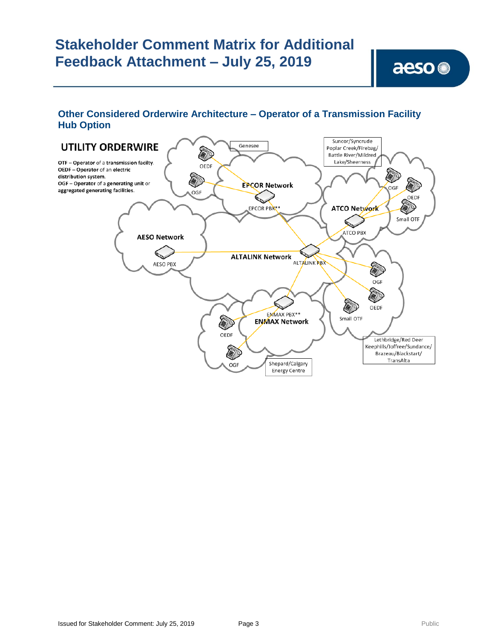### **Other Considered Orderwire Architecture – Operator of a Transmission Facility Hub Option**